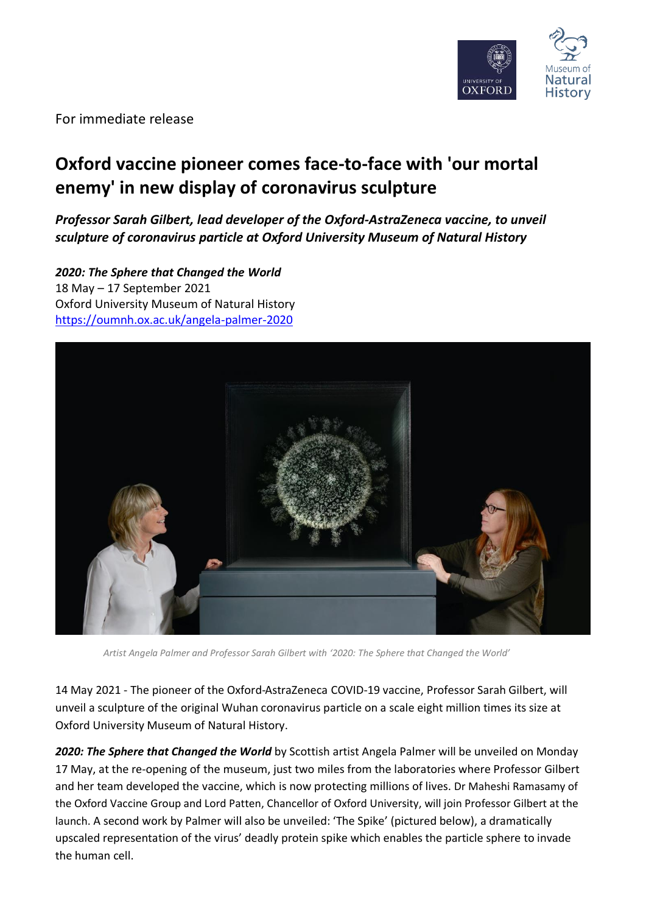

For immediate release

# **Oxford vaccine pioneer comes face-to-face with 'our mortal enemy' in new display of coronavirus sculpture**

*Professor Sarah Gilbert, lead developer of the Oxford-AstraZeneca vaccine, to unveil sculpture of coronavirus particle at Oxford University Museum of Natural History*

*2020: The Sphere that Changed the World*  18 May – 17 September 2021 Oxford University Museum of Natural History <https://oumnh.ox.ac.uk/angela-palmer-2020>



*Artist Angela Palmer and Professor Sarah Gilbert with '2020: The Sphere that Changed the World'*

14 May 2021 - The pioneer of the Oxford-AstraZeneca COVID-19 vaccine, Professor Sarah Gilbert, will unveil a sculpture of the original Wuhan coronavirus particle on a scale eight million times its size at Oxford University Museum of Natural History.

*2020: The Sphere that Changed the World* by Scottish artist Angela Palmer will be unveiled on Monday 17 May, at the re-opening of the museum, just two miles from the laboratories where Professor Gilbert and her team developed the vaccine, which is now protecting millions of lives. Dr Maheshi Ramasamy of the Oxford Vaccine Group and Lord Patten, Chancellor of Oxford University, will join Professor Gilbert at the launch. A second work by Palmer will also be unveiled: 'The Spike' (pictured below), a dramatically upscaled representation of the virus' deadly protein spike which enables the particle sphere to invade the human cell.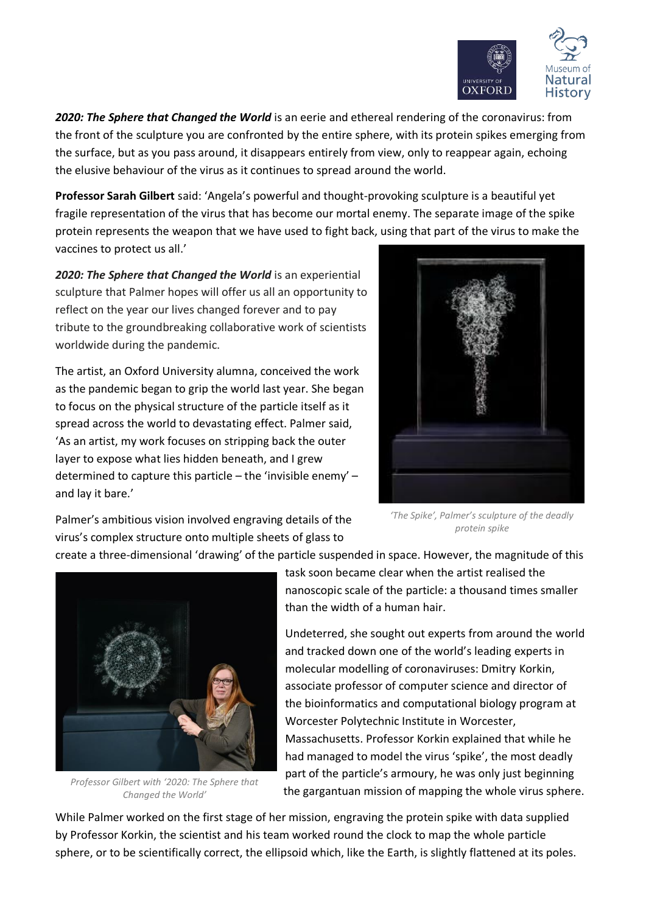

*2020: The Sphere that Changed the World* is an eerie and ethereal rendering of the coronavirus: from the front of the sculpture you are confronted by the entire sphere, with its protein spikes emerging from the surface, but as you pass around, it disappears entirely from view, only to reappear again, echoing the elusive behaviour of the virus as it continues to spread around the world.

**Professor Sarah Gilbert** said: 'Angela's powerful and thought-provoking sculpture is a beautiful yet fragile representation of the virus that has become our mortal enemy. The separate image of the spike protein represents the weapon that we have used to fight back, using that part of the virus to make the vaccines to protect us all.'

*2020: The Sphere that Changed the World* is an experiential sculpture that Palmer hopes will offer us all an opportunity to reflect on the year our lives changed forever and to pay tribute to the groundbreaking collaborative work of scientists worldwide during the pandemic.

The artist, an Oxford University alumna, conceived the work as the pandemic began to grip the world last year. She began to focus on the physical structure of the particle itself as it spread across the world to devastating effect. Palmer said, 'As an artist, my work focuses on stripping back the outer layer to expose what lies hidden beneath, and I grew determined to capture this particle – the 'invisible enemy' – and lay it bare.'



Palmer's ambitious vision involved engraving details of the virus's complex structure onto multiple sheets of glass to

*'The Spike', Palmer's sculpture of the deadly protein spike*

create a three-dimensional 'drawing' of the particle suspended in space. However, the magnitude of this



*Professor Gilbert with '2020: The Sphere that Changed the World'*

task soon became clear when the artist realised the nanoscopic scale of the particle: a thousand times smaller than the width of a human hair.

Undeterred, she sought out experts from around the world and tracked down one of the world's leading experts in molecular modelling of coronaviruses: Dmitry Korkin, associate professor of computer science and director of the bioinformatics and computational biology program at Worcester Polytechnic Institute in Worcester, Massachusetts. Professor Korkin explained that while he had managed to model the virus 'spike', the most deadly part of the particle's armoury, he was only just beginning the gargantuan mission of mapping the whole virus sphere.

While Palmer worked on the first stage of her mission, engraving the protein spike with data supplied by Professor Korkin, the scientist and his team worked round the clock to map the whole particle sphere, or to be scientifically correct, the ellipsoid which, like the Earth, is slightly flattened at its poles.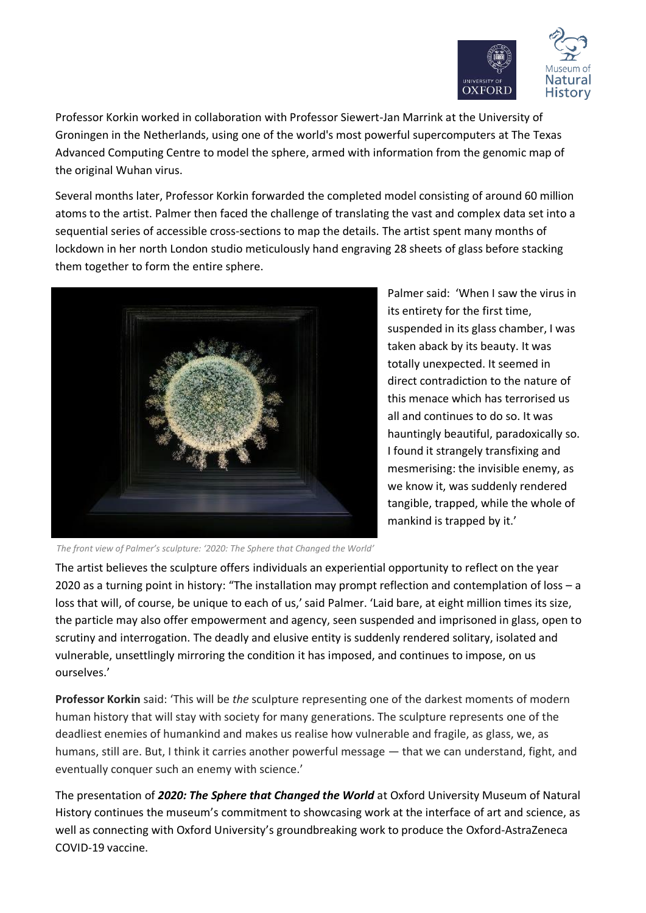

Professor Korkin worked in collaboration with Professor Siewert-Jan Marrink at the University of Groningen in the Netherlands, using one of the world's most powerful supercomputers at The Texas Advanced Computing Centre to model the sphere, armed with information from the genomic map of the original Wuhan virus.

Several months later, Professor Korkin forwarded the completed model consisting of around 60 million atoms to the artist. Palmer then faced the challenge of translating the vast and complex data set into a sequential series of accessible cross-sections to map the details. The artist spent many months of lockdown in her north London studio meticulously hand engraving 28 sheets of glass before stacking them together to form the entire sphere.



Palmer said: 'When I saw the virus in its entirety for the first time, suspended in its glass chamber, I was taken aback by its beauty. It was totally unexpected. It seemed in direct contradiction to the nature of this menace which has terrorised us all and continues to do so. It was hauntingly beautiful, paradoxically so. I found it strangely transfixing and mesmerising: the invisible enemy, as we know it, was suddenly rendered tangible, trapped, while the whole of mankind is trapped by it.'

*The front view of Palmer's sculpture: '2020: The Sphere that Changed the World'*

The artist believes the sculpture offers individuals an experiential opportunity to reflect on the year 2020 as a turning point in history: "The installation may prompt reflection and contemplation of loss – a loss that will, of course, be unique to each of us,'said Palmer. 'Laid bare, at eight million times its size, the particle may also offer empowerment and agency, seen suspended and imprisoned in glass, open to scrutiny and interrogation. The deadly and elusive entity is suddenly rendered solitary, isolated and vulnerable, unsettlingly mirroring the condition it has imposed, and continues to impose, on us ourselves.'

**Professor Korkin** said: 'This will be *the* sculpture representing one of the darkest moments of modern human history that will stay with society for many generations. The sculpture represents one of the deadliest enemies of humankind and makes us realise how vulnerable and fragile, as glass, we, as humans, still are. But, I think it carries another powerful message — that we can understand, fight, and eventually conquer such an enemy with science.'

The presentation of *2020: The Sphere that Changed the World* at Oxford University Museum of Natural History continues the museum's commitment to showcasing work at the interface of art and science, as well as connecting with Oxford University's groundbreaking work to produce the Oxford-AstraZeneca COVID-19 vaccine.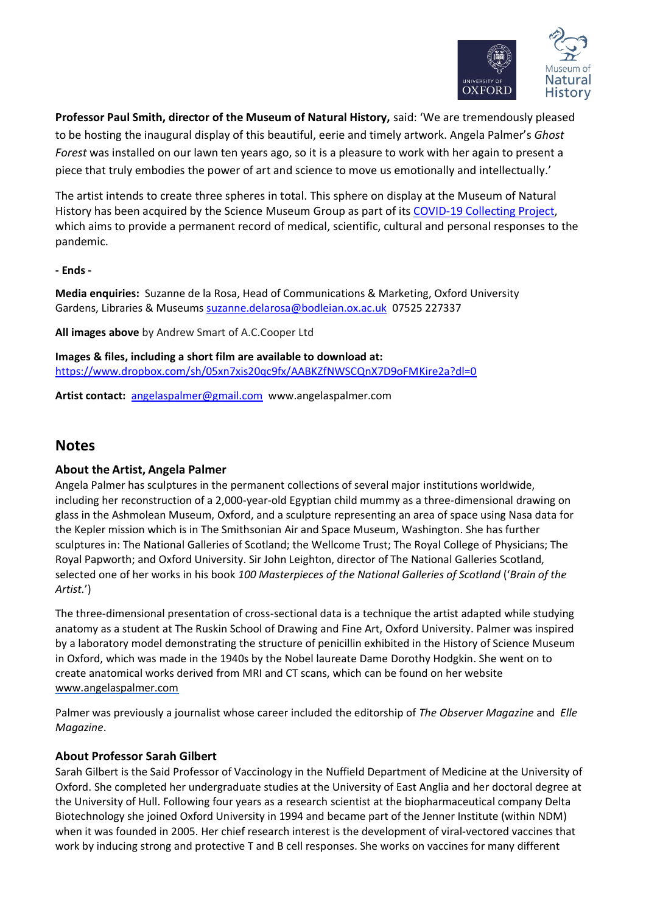

**Professor Paul Smith, director of the Museum of Natural History,** said: 'We are tremendously pleased to be hosting the inaugural display of this beautiful, eerie and timely artwork. Angela Palmer's *Ghost Forest* was installed on our lawn ten years ago, so it is a pleasure to work with her again to present a piece that truly embodies the power of art and science to move us emotionally and intellectually.'

The artist intends to create three spheres in total. This sphere on display at the Museum of Natural History has been acquired by the Science Museum Group as part of its [COVID-19 Collecting Project,](https://www.sciencemuseumgroup.org.uk/project/collecting-covid-19/) which aims to provide a permanent record of medical, scientific, cultural and personal responses to the pandemic.

**- Ends -**

**Media enquiries:** Suzanne de la Rosa, Head of Communications & Marketing, Oxford University Gardens, Libraries & Museums [suzanne.delarosa@bodleian.ox.ac.uk](mailto:suzanne.delarosa@bodleian.ox.ac.uk) 07525 227337

**All images above** by Andrew Smart of A.C.Cooper Ltd

**Images & files, including a short film are available to download at:**  <https://www.dropbox.com/sh/05xn7xis20qc9fx/AABKZfNWSCQnX7D9oFMKire2a?dl=0>

**Artist contact:** [angelaspalmer@gmail.com](mailto:angelaspalmer@gmail.com) www.angelaspalmer.com

## **Notes**

### **About the Artist, Angela Palmer**

Angela Palmer has sculptures in the permanent collections of several major institutions worldwide, including her reconstruction of a 2,000-year-old Egyptian child mummy as a three-dimensional drawing on glass in the Ashmolean Museum, Oxford, and a sculpture representing an area of space using Nasa data for the Kepler mission which is in The Smithsonian Air and Space Museum, Washington. She has further sculptures in: The National Galleries of Scotland; the Wellcome Trust; The Royal College of Physicians; The Royal Papworth; and Oxford University. Sir John Leighton, director of The National Galleries Scotland, selected one of her works in his book *100 Masterpieces of the National Galleries of Scotland* ('*Brain of the Artist.*')

The three-dimensional presentation of cross-sectional data is a technique the artist adapted while studying anatomy as a student at The Ruskin School of Drawing and Fine Art, Oxford University. Palmer was inspired by a laboratory model demonstrating the structure of penicillin exhibited in the History of Science Museum in Oxford, which was made in the 1940s by the Nobel laureate Dame Dorothy Hodgkin. She went on to create anatomical works derived from MRI and CT scans, which can be found on her website [www.angelaspalmer.com](http://www.angelaspalmer.com/)

Palmer was previously a journalist whose career included the editorship of *The Observer Magazine* and *Elle Magazine*.

### **About Professor Sarah Gilbert**

Sarah Gilbert is the Said Professor of Vaccinology in the Nuffield Department of Medicine at the University of Oxford. She completed her undergraduate studies at the University of East Anglia and her doctoral degree at the University of Hull. Following four years as a research scientist at the biopharmaceutical company Delta Biotechnology she joined Oxford University in 1994 and became part of the Jenner Institute (within NDM) when it was founded in 2005. Her chief research interest is the development of viral-vectored vaccines that work by inducing strong and protective T and B cell responses. She works on vaccines for many different